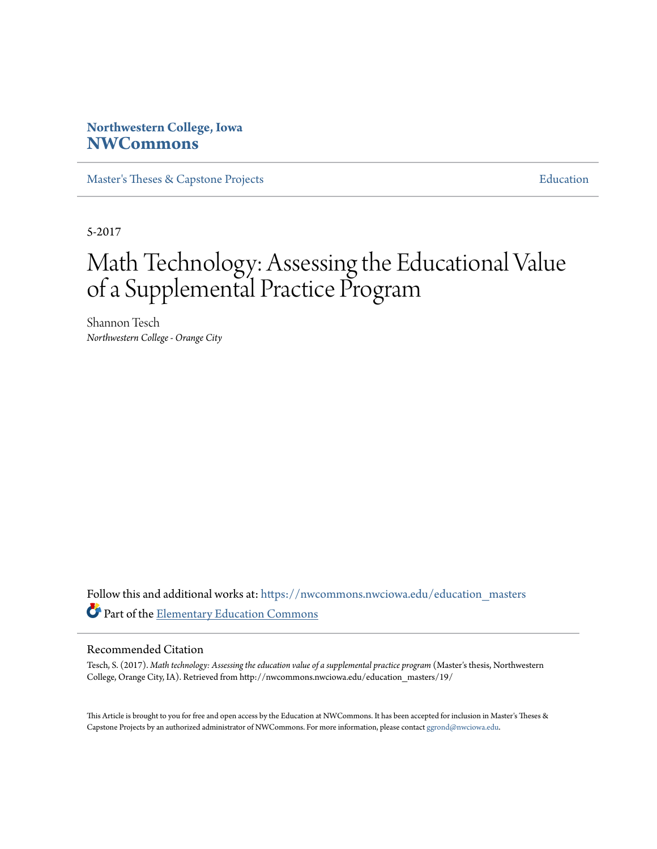## **Northwestern College, Iowa [NWCommons](https://nwcommons.nwciowa.edu?utm_source=nwcommons.nwciowa.edu%2Feducation_masters%2F19&utm_medium=PDF&utm_campaign=PDFCoverPages)**

[Master's Theses & Capstone Projects](https://nwcommons.nwciowa.edu/education_masters?utm_source=nwcommons.nwciowa.edu%2Feducation_masters%2F19&utm_medium=PDF&utm_campaign=PDFCoverPages) **[Education](https://nwcommons.nwciowa.edu/education?utm_source=nwcommons.nwciowa.edu%2Feducation_masters%2F19&utm_medium=PDF&utm_campaign=PDFCoverPages)** 

5-2017

# Math Technology: Assessing the Educational Value of a Supplemental Practice Program

Shannon Tesch *Northwestern College - Orange City*

Follow this and additional works at: [https://nwcommons.nwciowa.edu/education\\_masters](https://nwcommons.nwciowa.edu/education_masters?utm_source=nwcommons.nwciowa.edu%2Feducation_masters%2F19&utm_medium=PDF&utm_campaign=PDFCoverPages) Part of the [Elementary Education Commons](http://network.bepress.com/hgg/discipline/1378?utm_source=nwcommons.nwciowa.edu%2Feducation_masters%2F19&utm_medium=PDF&utm_campaign=PDFCoverPages)

#### Recommended Citation

Tesch, S. (2017). *Math technology: Assessing the education value of a supplemental practice program* (Master's thesis, Northwestern College, Orange City, IA). Retrieved from http://nwcommons.nwciowa.edu/education\_masters/19/

This Article is brought to you for free and open access by the Education at NWCommons. It has been accepted for inclusion in Master's Theses & Capstone Projects by an authorized administrator of NWCommons. For more information, please contact [ggrond@nwciowa.edu.](mailto:ggrond@nwciowa.edu)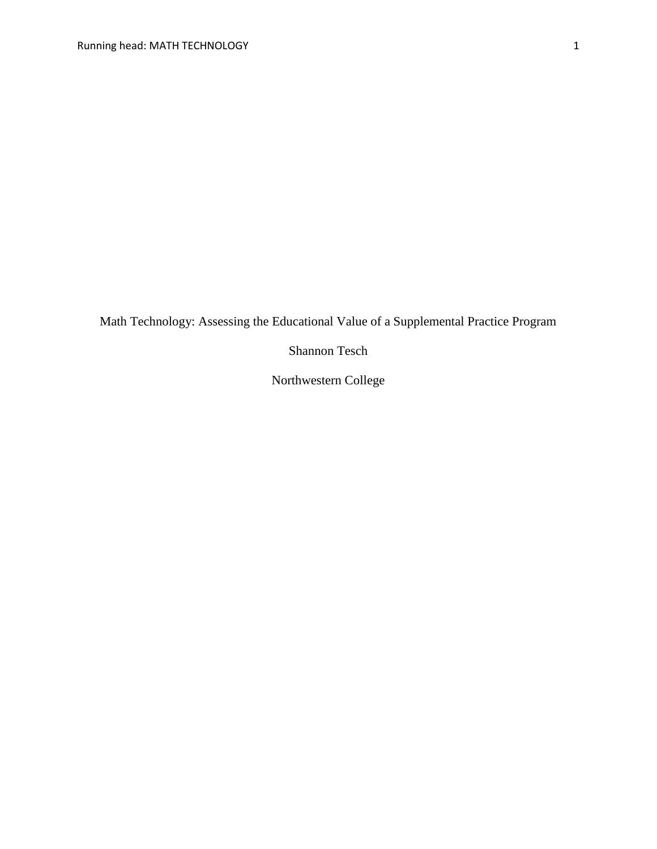Math Technology: Assessing the Educational Value of a Supplemental Practice Program

Shannon Tesch

Northwestern College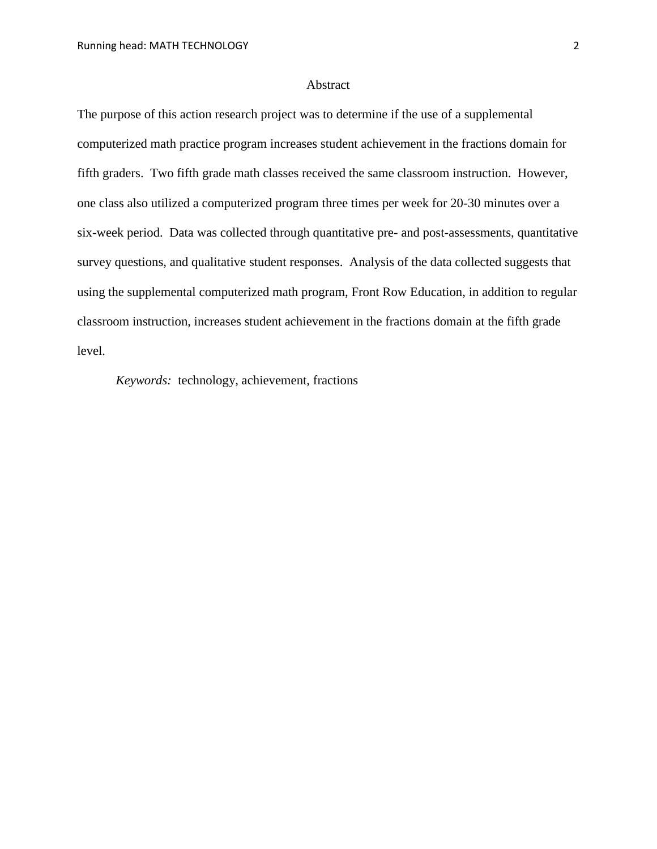#### Abstract

The purpose of this action research project was to determine if the use of a supplemental computerized math practice program increases student achievement in the fractions domain for fifth graders. Two fifth grade math classes received the same classroom instruction. However, one class also utilized a computerized program three times per week for 20-30 minutes over a six-week period. Data was collected through quantitative pre- and post-assessments, quantitative survey questions, and qualitative student responses. Analysis of the data collected suggests that using the supplemental computerized math program, Front Row Education, in addition to regular classroom instruction, increases student achievement in the fractions domain at the fifth grade level.

*Keywords:* technology, achievement, fractions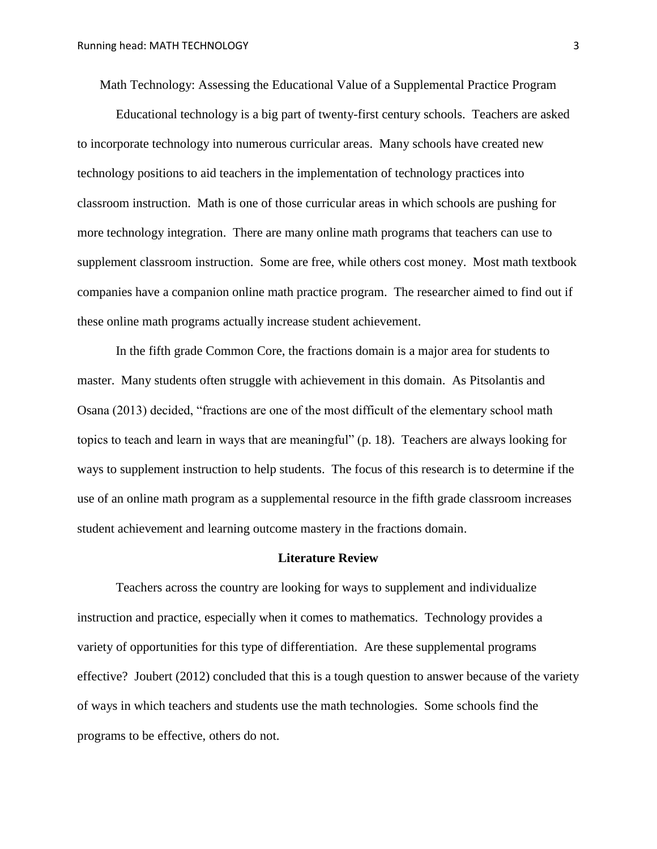Math Technology: Assessing the Educational Value of a Supplemental Practice Program

Educational technology is a big part of twenty-first century schools. Teachers are asked to incorporate technology into numerous curricular areas. Many schools have created new technology positions to aid teachers in the implementation of technology practices into classroom instruction. Math is one of those curricular areas in which schools are pushing for more technology integration. There are many online math programs that teachers can use to supplement classroom instruction. Some are free, while others cost money. Most math textbook companies have a companion online math practice program. The researcher aimed to find out if these online math programs actually increase student achievement.

In the fifth grade Common Core, the fractions domain is a major area for students to master. Many students often struggle with achievement in this domain. As Pitsolantis and Osana (2013) decided, "fractions are one of the most difficult of the elementary school math topics to teach and learn in ways that are meaningful" (p. 18). Teachers are always looking for ways to supplement instruction to help students. The focus of this research is to determine if the use of an online math program as a supplemental resource in the fifth grade classroom increases student achievement and learning outcome mastery in the fractions domain.

#### **Literature Review**

Teachers across the country are looking for ways to supplement and individualize instruction and practice, especially when it comes to mathematics. Technology provides a variety of opportunities for this type of differentiation. Are these supplemental programs effective? Joubert (2012) concluded that this is a tough question to answer because of the variety of ways in which teachers and students use the math technologies. Some schools find the programs to be effective, others do not.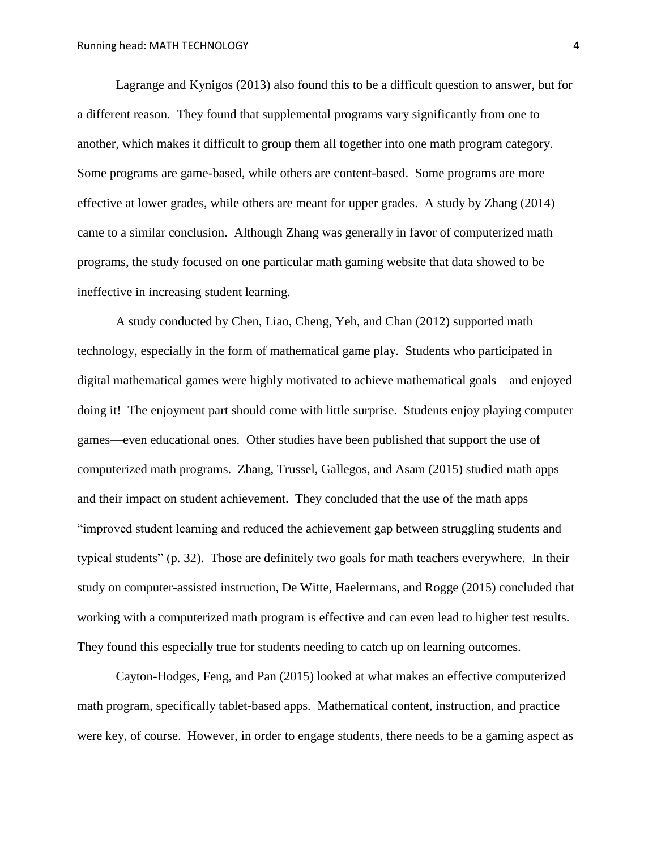Lagrange and Kynigos (2013) also found this to be a difficult question to answer, but for a different reason. They found that supplemental programs vary significantly from one to another, which makes it difficult to group them all together into one math program category. Some programs are game-based, while others are content-based. Some programs are more effective at lower grades, while others are meant for upper grades. A study by Zhang (2014) came to a similar conclusion. Although Zhang was generally in favor of computerized math programs, the study focused on one particular math gaming website that data showed to be ineffective in increasing student learning.

A study conducted by Chen, Liao, Cheng, Yeh, and Chan (2012) supported math technology, especially in the form of mathematical game play. Students who participated in digital mathematical games were highly motivated to achieve mathematical goals—and enjoyed doing it! The enjoyment part should come with little surprise. Students enjoy playing computer games—even educational ones. Other studies have been published that support the use of computerized math programs. Zhang, Trussel, Gallegos, and Asam (2015) studied math apps and their impact on student achievement. They concluded that the use of the math apps "improved student learning and reduced the achievement gap between struggling students and typical students" (p. 32). Those are definitely two goals for math teachers everywhere. In their study on computer-assisted instruction, De Witte, Haelermans, and Rogge (2015) concluded that working with a computerized math program is effective and can even lead to higher test results. They found this especially true for students needing to catch up on learning outcomes.

Cayton-Hodges, Feng, and Pan (2015) looked at what makes an effective computerized math program, specifically tablet-based apps. Mathematical content, instruction, and practice were key, of course. However, in order to engage students, there needs to be a gaming aspect as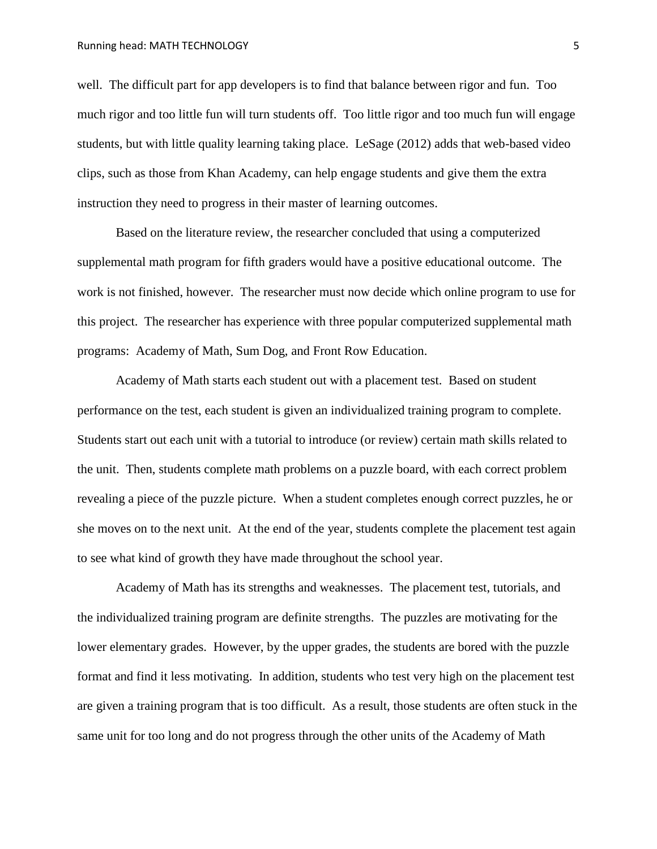well. The difficult part for app developers is to find that balance between rigor and fun. Too much rigor and too little fun will turn students off. Too little rigor and too much fun will engage students, but with little quality learning taking place. LeSage (2012) adds that web-based video clips, such as those from Khan Academy, can help engage students and give them the extra instruction they need to progress in their master of learning outcomes.

Based on the literature review, the researcher concluded that using a computerized supplemental math program for fifth graders would have a positive educational outcome. The work is not finished, however. The researcher must now decide which online program to use for this project. The researcher has experience with three popular computerized supplemental math programs: Academy of Math, Sum Dog, and Front Row Education.

Academy of Math starts each student out with a placement test. Based on student performance on the test, each student is given an individualized training program to complete. Students start out each unit with a tutorial to introduce (or review) certain math skills related to the unit. Then, students complete math problems on a puzzle board, with each correct problem revealing a piece of the puzzle picture. When a student completes enough correct puzzles, he or she moves on to the next unit. At the end of the year, students complete the placement test again to see what kind of growth they have made throughout the school year.

Academy of Math has its strengths and weaknesses. The placement test, tutorials, and the individualized training program are definite strengths. The puzzles are motivating for the lower elementary grades. However, by the upper grades, the students are bored with the puzzle format and find it less motivating. In addition, students who test very high on the placement test are given a training program that is too difficult. As a result, those students are often stuck in the same unit for too long and do not progress through the other units of the Academy of Math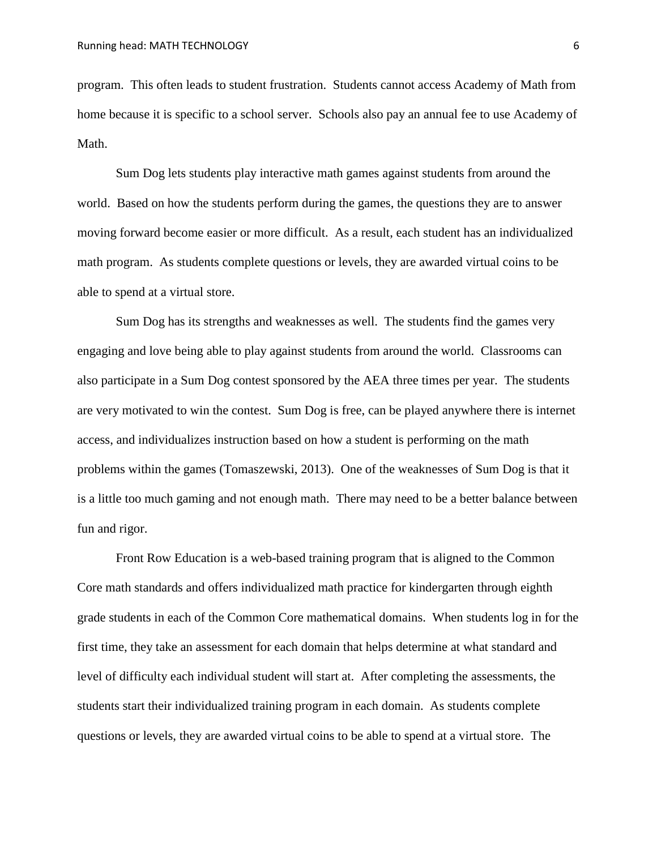program. This often leads to student frustration. Students cannot access Academy of Math from home because it is specific to a school server. Schools also pay an annual fee to use Academy of Math.

Sum Dog lets students play interactive math games against students from around the world. Based on how the students perform during the games, the questions they are to answer moving forward become easier or more difficult. As a result, each student has an individualized math program. As students complete questions or levels, they are awarded virtual coins to be able to spend at a virtual store.

Sum Dog has its strengths and weaknesses as well. The students find the games very engaging and love being able to play against students from around the world. Classrooms can also participate in a Sum Dog contest sponsored by the AEA three times per year. The students are very motivated to win the contest. Sum Dog is free, can be played anywhere there is internet access, and individualizes instruction based on how a student is performing on the math problems within the games (Tomaszewski, 2013). One of the weaknesses of Sum Dog is that it is a little too much gaming and not enough math. There may need to be a better balance between fun and rigor.

Front Row Education is a web-based training program that is aligned to the Common Core math standards and offers individualized math practice for kindergarten through eighth grade students in each of the Common Core mathematical domains. When students log in for the first time, they take an assessment for each domain that helps determine at what standard and level of difficulty each individual student will start at. After completing the assessments, the students start their individualized training program in each domain. As students complete questions or levels, they are awarded virtual coins to be able to spend at a virtual store. The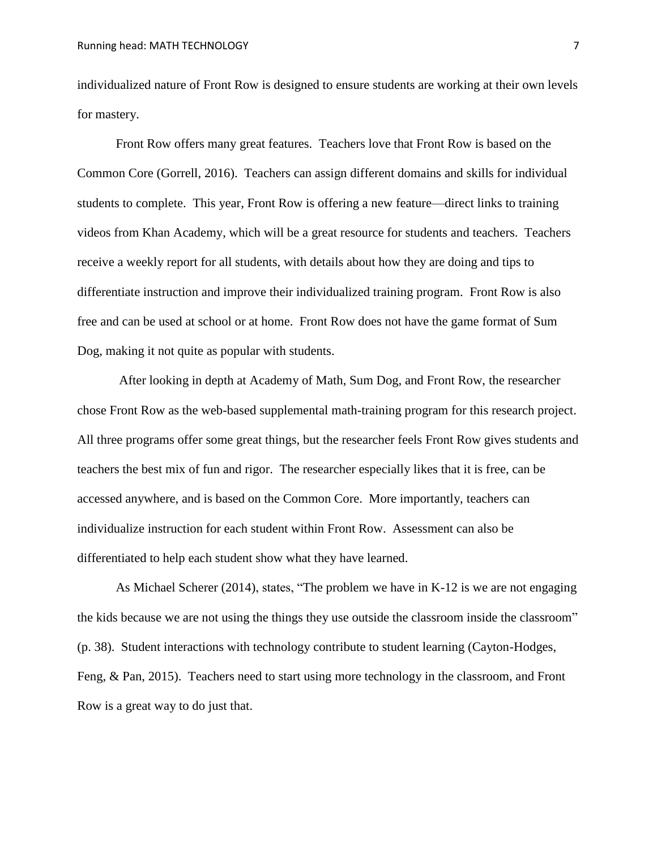individualized nature of Front Row is designed to ensure students are working at their own levels for mastery.

Front Row offers many great features. Teachers love that Front Row is based on the Common Core (Gorrell, 2016). Teachers can assign different domains and skills for individual students to complete. This year, Front Row is offering a new feature—direct links to training videos from Khan Academy, which will be a great resource for students and teachers. Teachers receive a weekly report for all students, with details about how they are doing and tips to differentiate instruction and improve their individualized training program. Front Row is also free and can be used at school or at home. Front Row does not have the game format of Sum Dog, making it not quite as popular with students.

After looking in depth at Academy of Math, Sum Dog, and Front Row, the researcher chose Front Row as the web-based supplemental math-training program for this research project. All three programs offer some great things, but the researcher feels Front Row gives students and teachers the best mix of fun and rigor. The researcher especially likes that it is free, can be accessed anywhere, and is based on the Common Core. More importantly, teachers can individualize instruction for each student within Front Row. Assessment can also be differentiated to help each student show what they have learned.

As Michael Scherer (2014), states, "The problem we have in K-12 is we are not engaging the kids because we are not using the things they use outside the classroom inside the classroom" (p. 38). Student interactions with technology contribute to student learning (Cayton-Hodges, Feng, & Pan, 2015). Teachers need to start using more technology in the classroom, and Front Row is a great way to do just that.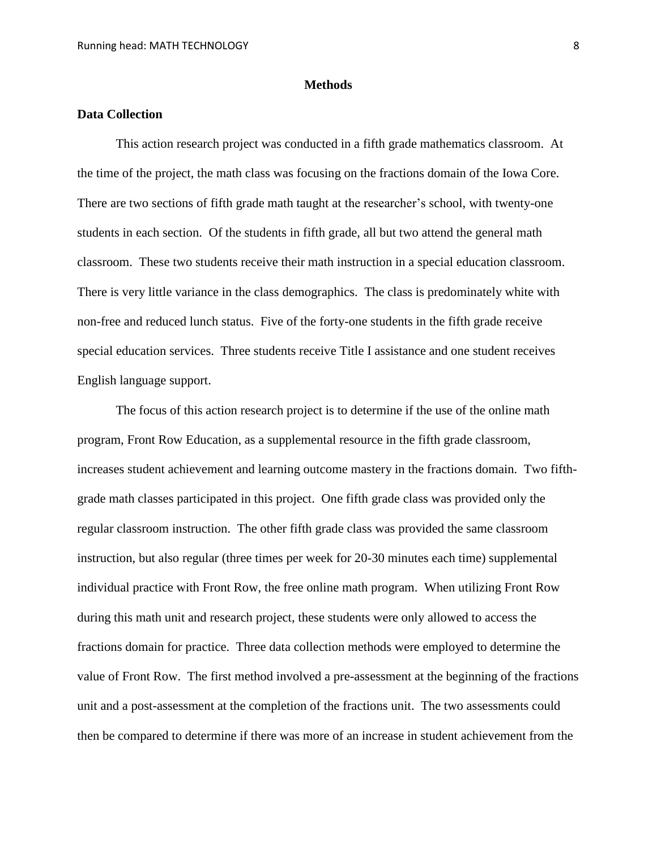#### **Methods**

#### **Data Collection**

This action research project was conducted in a fifth grade mathematics classroom. At the time of the project, the math class was focusing on the fractions domain of the Iowa Core. There are two sections of fifth grade math taught at the researcher's school, with twenty-one students in each section. Of the students in fifth grade, all but two attend the general math classroom. These two students receive their math instruction in a special education classroom. There is very little variance in the class demographics. The class is predominately white with non-free and reduced lunch status. Five of the forty-one students in the fifth grade receive special education services. Three students receive Title I assistance and one student receives English language support.

The focus of this action research project is to determine if the use of the online math program, Front Row Education, as a supplemental resource in the fifth grade classroom, increases student achievement and learning outcome mastery in the fractions domain. Two fifthgrade math classes participated in this project. One fifth grade class was provided only the regular classroom instruction. The other fifth grade class was provided the same classroom instruction, but also regular (three times per week for 20-30 minutes each time) supplemental individual practice with Front Row, the free online math program. When utilizing Front Row during this math unit and research project, these students were only allowed to access the fractions domain for practice. Three data collection methods were employed to determine the value of Front Row. The first method involved a pre-assessment at the beginning of the fractions unit and a post-assessment at the completion of the fractions unit. The two assessments could then be compared to determine if there was more of an increase in student achievement from the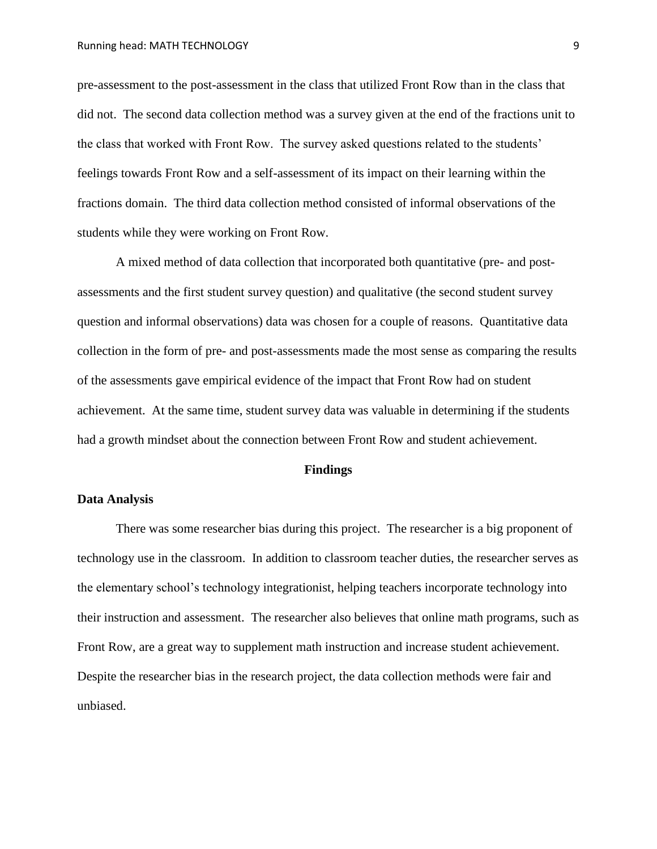pre-assessment to the post-assessment in the class that utilized Front Row than in the class that did not. The second data collection method was a survey given at the end of the fractions unit to the class that worked with Front Row. The survey asked questions related to the students' feelings towards Front Row and a self-assessment of its impact on their learning within the fractions domain. The third data collection method consisted of informal observations of the students while they were working on Front Row.

A mixed method of data collection that incorporated both quantitative (pre- and postassessments and the first student survey question) and qualitative (the second student survey question and informal observations) data was chosen for a couple of reasons. Quantitative data collection in the form of pre- and post-assessments made the most sense as comparing the results of the assessments gave empirical evidence of the impact that Front Row had on student achievement. At the same time, student survey data was valuable in determining if the students had a growth mindset about the connection between Front Row and student achievement.

#### **Findings**

#### **Data Analysis**

There was some researcher bias during this project. The researcher is a big proponent of technology use in the classroom. In addition to classroom teacher duties, the researcher serves as the elementary school's technology integrationist, helping teachers incorporate technology into their instruction and assessment. The researcher also believes that online math programs, such as Front Row, are a great way to supplement math instruction and increase student achievement. Despite the researcher bias in the research project, the data collection methods were fair and unbiased.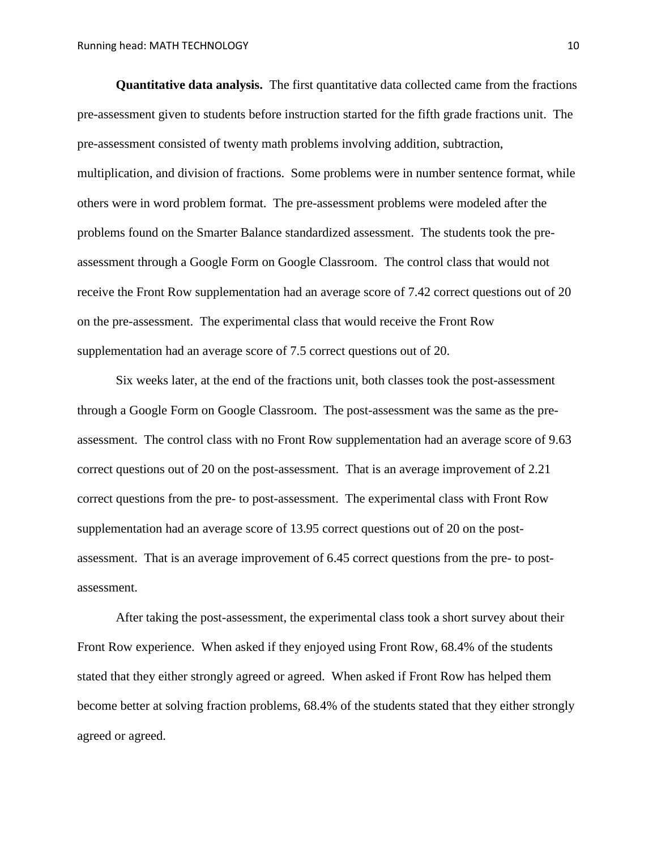**Quantitative data analysis.** The first quantitative data collected came from the fractions pre-assessment given to students before instruction started for the fifth grade fractions unit. The pre-assessment consisted of twenty math problems involving addition, subtraction, multiplication, and division of fractions. Some problems were in number sentence format, while others were in word problem format. The pre-assessment problems were modeled after the problems found on the Smarter Balance standardized assessment. The students took the preassessment through a Google Form on Google Classroom. The control class that would not receive the Front Row supplementation had an average score of 7.42 correct questions out of 20 on the pre-assessment. The experimental class that would receive the Front Row supplementation had an average score of 7.5 correct questions out of 20.

Six weeks later, at the end of the fractions unit, both classes took the post-assessment through a Google Form on Google Classroom. The post-assessment was the same as the preassessment. The control class with no Front Row supplementation had an average score of 9.63 correct questions out of 20 on the post-assessment. That is an average improvement of 2.21 correct questions from the pre- to post-assessment. The experimental class with Front Row supplementation had an average score of 13.95 correct questions out of 20 on the postassessment. That is an average improvement of 6.45 correct questions from the pre- to postassessment.

After taking the post-assessment, the experimental class took a short survey about their Front Row experience. When asked if they enjoyed using Front Row, 68.4% of the students stated that they either strongly agreed or agreed. When asked if Front Row has helped them become better at solving fraction problems, 68.4% of the students stated that they either strongly agreed or agreed.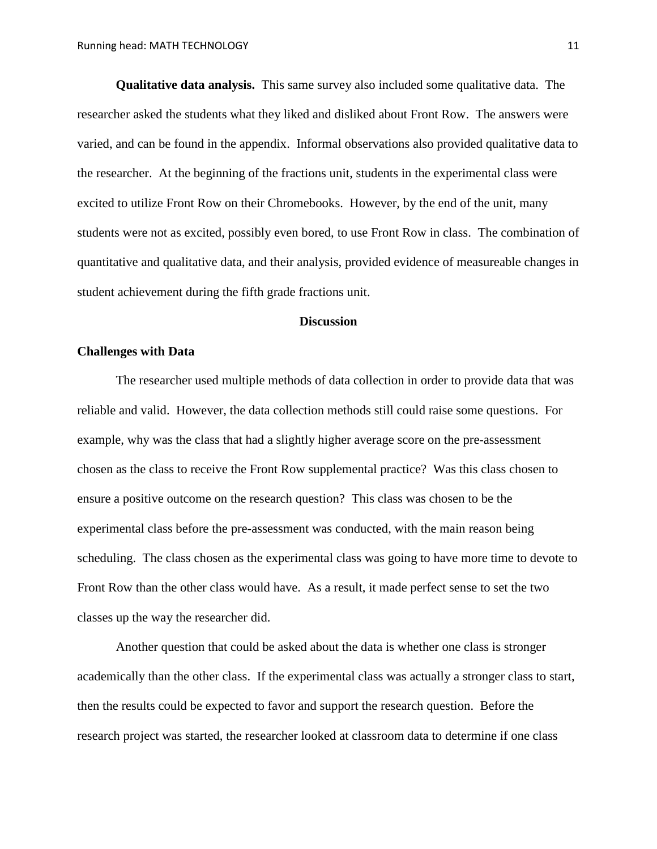**Qualitative data analysis.** This same survey also included some qualitative data. The researcher asked the students what they liked and disliked about Front Row. The answers were varied, and can be found in the appendix. Informal observations also provided qualitative data to the researcher. At the beginning of the fractions unit, students in the experimental class were excited to utilize Front Row on their Chromebooks. However, by the end of the unit, many students were not as excited, possibly even bored, to use Front Row in class. The combination of quantitative and qualitative data, and their analysis, provided evidence of measureable changes in student achievement during the fifth grade fractions unit.

#### **Discussion**

#### **Challenges with Data**

The researcher used multiple methods of data collection in order to provide data that was reliable and valid. However, the data collection methods still could raise some questions. For example, why was the class that had a slightly higher average score on the pre-assessment chosen as the class to receive the Front Row supplemental practice? Was this class chosen to ensure a positive outcome on the research question? This class was chosen to be the experimental class before the pre-assessment was conducted, with the main reason being scheduling. The class chosen as the experimental class was going to have more time to devote to Front Row than the other class would have. As a result, it made perfect sense to set the two classes up the way the researcher did.

Another question that could be asked about the data is whether one class is stronger academically than the other class. If the experimental class was actually a stronger class to start, then the results could be expected to favor and support the research question. Before the research project was started, the researcher looked at classroom data to determine if one class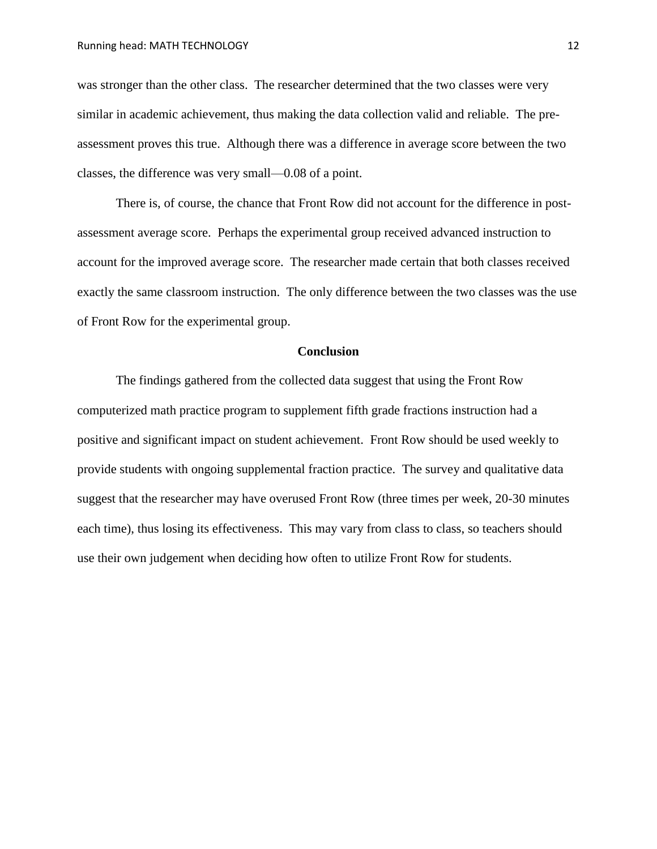was stronger than the other class. The researcher determined that the two classes were very similar in academic achievement, thus making the data collection valid and reliable. The preassessment proves this true. Although there was a difference in average score between the two classes, the difference was very small—0.08 of a point.

There is, of course, the chance that Front Row did not account for the difference in postassessment average score. Perhaps the experimental group received advanced instruction to account for the improved average score. The researcher made certain that both classes received exactly the same classroom instruction. The only difference between the two classes was the use of Front Row for the experimental group.

#### **Conclusion**

The findings gathered from the collected data suggest that using the Front Row computerized math practice program to supplement fifth grade fractions instruction had a positive and significant impact on student achievement. Front Row should be used weekly to provide students with ongoing supplemental fraction practice. The survey and qualitative data suggest that the researcher may have overused Front Row (three times per week, 20-30 minutes each time), thus losing its effectiveness. This may vary from class to class, so teachers should use their own judgement when deciding how often to utilize Front Row for students.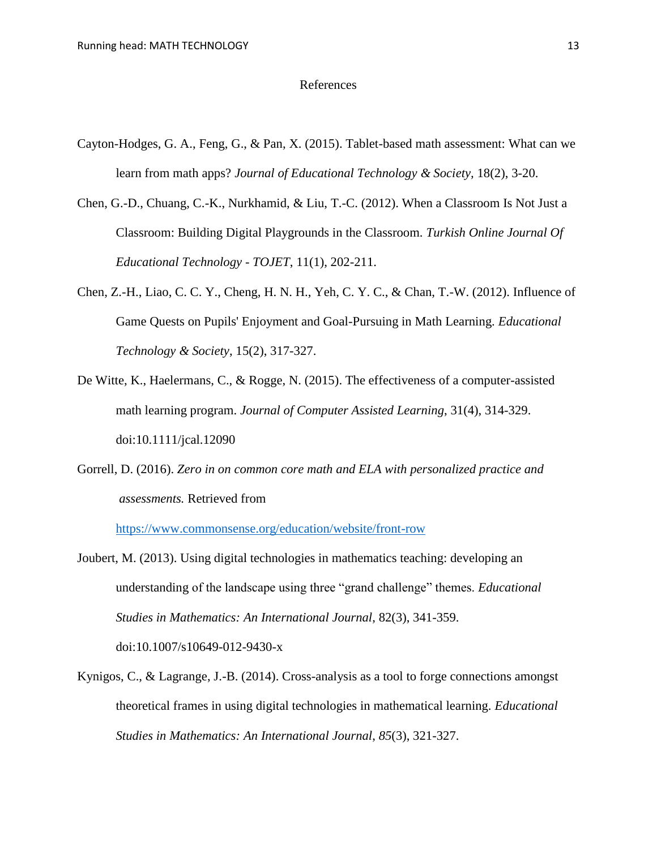#### References

- Cayton-Hodges, G. A., Feng, G., & Pan, X. (2015). Tablet-based math assessment: What can we learn from math apps? *Journal of Educational Technology & Society,* 18(2), 3-20.
- Chen, G.-D., Chuang, C.-K., Nurkhamid, & Liu, T.-C. (2012). When a Classroom Is Not Just a Classroom: Building Digital Playgrounds in the Classroom. *Turkish Online Journal Of Educational Technology - TOJET*, 11(1), 202-211.
- Chen, Z.-H., Liao, C. C. Y., Cheng, H. N. H., Yeh, C. Y. C., & Chan, T.-W. (2012). Influence of Game Quests on Pupils' Enjoyment and Goal-Pursuing in Math Learning. *Educational Technology & Society*, 15(2), 317-327.
- De Witte, K., Haelermans, C., & Rogge, N. (2015). The effectiveness of a computer-assisted math learning program. *Journal of Computer Assisted Learning*, 31(4), 314-329. doi:10.1111/jcal.12090
- Gorrell, D. (2016). *Zero in on common core math and ELA with personalized practice and assessments.* Retrieved from

<https://www.commonsense.org/education/website/front-row>

- Joubert, M. (2013). Using digital technologies in mathematics teaching: developing an understanding of the landscape using three "grand challenge" themes. *Educational Studies in Mathematics: An International Journal*, 82(3), 341-359. doi:10.1007/s10649-012-9430-x
- Kynigos, C., & Lagrange, J.-B. (2014). Cross-analysis as a tool to forge connections amongst theoretical frames in using digital technologies in mathematical learning. *Educational Studies in Mathematics: An International Journal*, *85*(3), 321-327.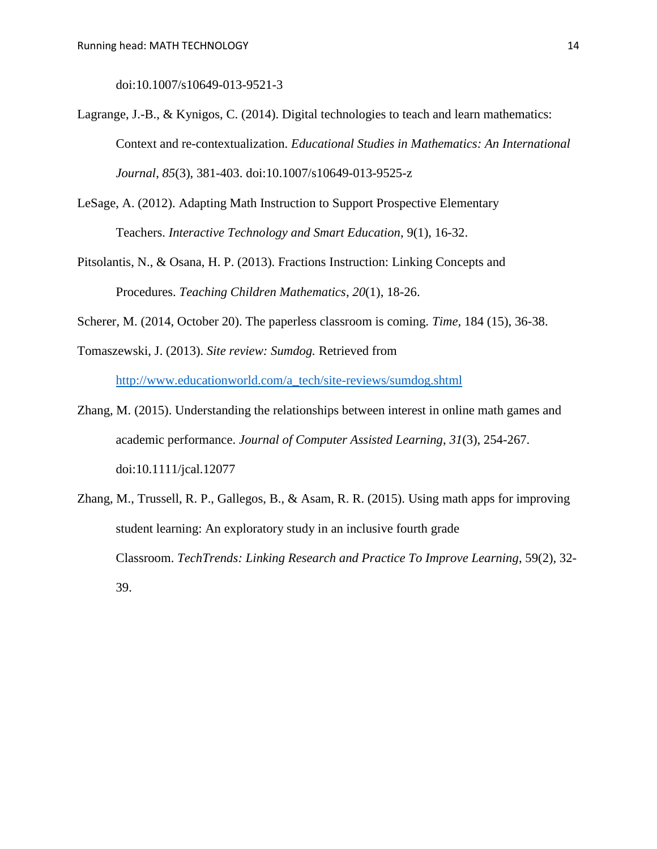doi:10.1007/s10649-013-9521-3

- Lagrange, J.-B., & Kynigos, C. (2014). Digital technologies to teach and learn mathematics: Context and re-contextualization. *Educational Studies in Mathematics: An International Journal*, *85*(3), 381-403. doi:10.1007/s10649-013-9525-z
- LeSage, A. (2012). Adapting Math Instruction to Support Prospective Elementary Teachers. *Interactive Technology and Smart Education*, 9(1), 16-32.
- Pitsolantis, N., & Osana, H. P. (2013). Fractions Instruction: Linking Concepts and Procedures. *Teaching Children Mathematics*, *20*(1), 18-26.
- Scherer, M. (2014, October 20). The paperless classroom is coming. *Time,* 184 (15), 36-38.

Tomaszewski, J. (2013). *Site review: Sumdog.* Retrieved from [http://www.educationworld.com/a\\_tech/site-reviews/sumdog.shtml](http://www.educationworld.com/a_tech/site-reviews/sumdog.shtml)

- Zhang, M. (2015). Understanding the relationships between interest in online math games and academic performance. *Journal of Computer Assisted Learning*, *31*(3), 254-267. doi:10.1111/jcal.12077
- Zhang, M., Trussell, R. P., Gallegos, B., & Asam, R. R. (2015). Using math apps for improving student learning: An exploratory study in an inclusive fourth grade Classroom. *TechTrends: Linking Research and Practice To Improve Learning*, 59(2), 32- 39.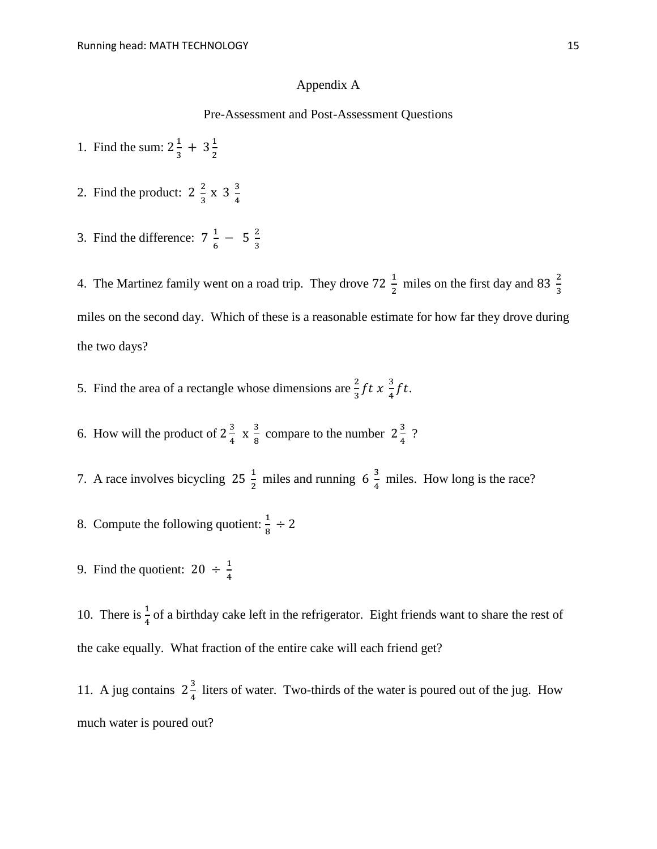#### Appendix A

#### Pre-Assessment and Post-Assessment Questions

- 1. Find the sum:  $2\frac{1}{2}$  $\frac{1}{3} + 3\frac{1}{2}$ 2
- 2. Find the product:  $2\frac{2}{3}$  $\frac{2}{3} \times 3 \frac{3}{4}$ 4
- 3. Find the difference:  $7\frac{1}{6}$  $\frac{1}{6}$  - 5  $\frac{2}{3}$ 3

4. The Martinez family went on a road trip. They drove 72  $\frac{1}{2}$  miles on the first day and 83  $\frac{2}{3}$ miles on the second day. Which of these is a reasonable estimate for how far they drove during the two days?

- 5. Find the area of a rectangle whose dimensions are  $\frac{2}{3} f t x \frac{3}{4}$  $\frac{3}{4}ft$ .
- 6. How will the product of  $2\frac{3}{4}$  $\frac{3}{4}$  X  $\frac{3}{8}$  $\frac{3}{8}$  compare to the number  $2\frac{3}{4}$  $\frac{3}{4}$ ?
- 7. A race involves bicycling  $25\frac{1}{2}$  miles and running  $6\frac{3}{4}$  $\frac{3}{4}$  miles. How long is the race?
- 8. Compute the following quotient:  $\frac{1}{8} \div 2$
- 9. Find the quotient:  $20 \div \frac{1}{4}$ 4

10. There is  $\frac{1}{4}$  of a birthday cake left in the refrigerator. Eight friends want to share the rest of the cake equally. What fraction of the entire cake will each friend get?

11. A jug contains  $2\frac{3}{4}$  $\frac{3}{4}$  liters of water. Two-thirds of the water is poured out of the jug. How much water is poured out?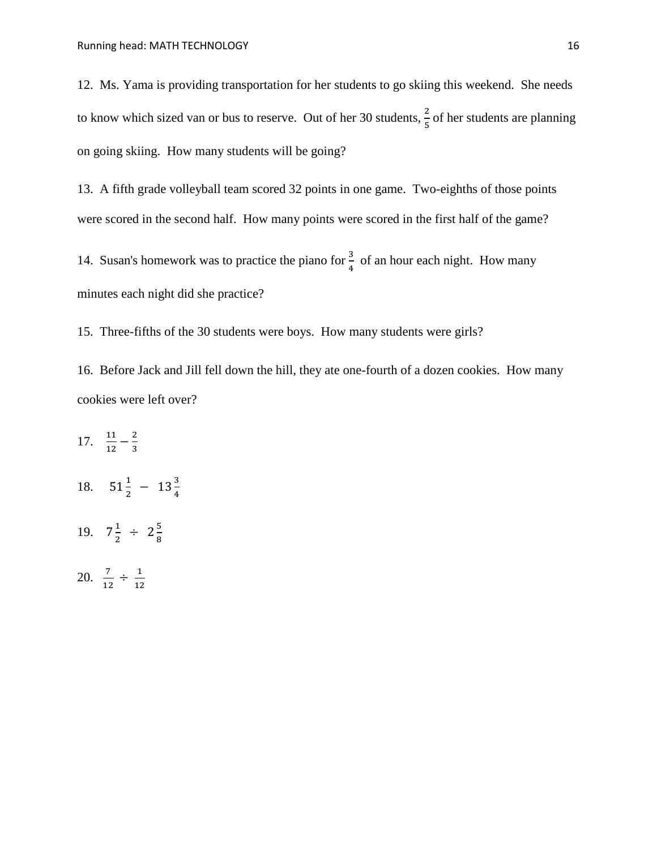12. Ms. Yama is providing transportation for her students to go skiing this weekend. She needs to know which sized van or bus to reserve. Out of her 30 students,  $\frac{2}{5}$  of her students are planning on going skiing. How many students will be going?

13. A fifth grade volleyball team scored 32 points in one game. Two-eighths of those points were scored in the second half. How many points were scored in the first half of the game?

14. Susan's homework was to practice the piano for  $\frac{3}{4}$  of an hour each night. How many minutes each night did she practice?

15. Three-fifths of the 30 students were boys. How many students were girls?

16. Before Jack and Jill fell down the hill, they ate one-fourth of a dozen cookies. How many cookies were left over?

17.  $\frac{11}{12} - \frac{2}{3}$ 3 18.  $51\frac{1}{2}$  -  $13\frac{3}{4}$ 19.  $7\frac{1}{2}$  $rac{1}{2}$  ÷ 2 $rac{5}{8}$ 8 20.  $\frac{7}{12} \div \frac{1}{12}$ 12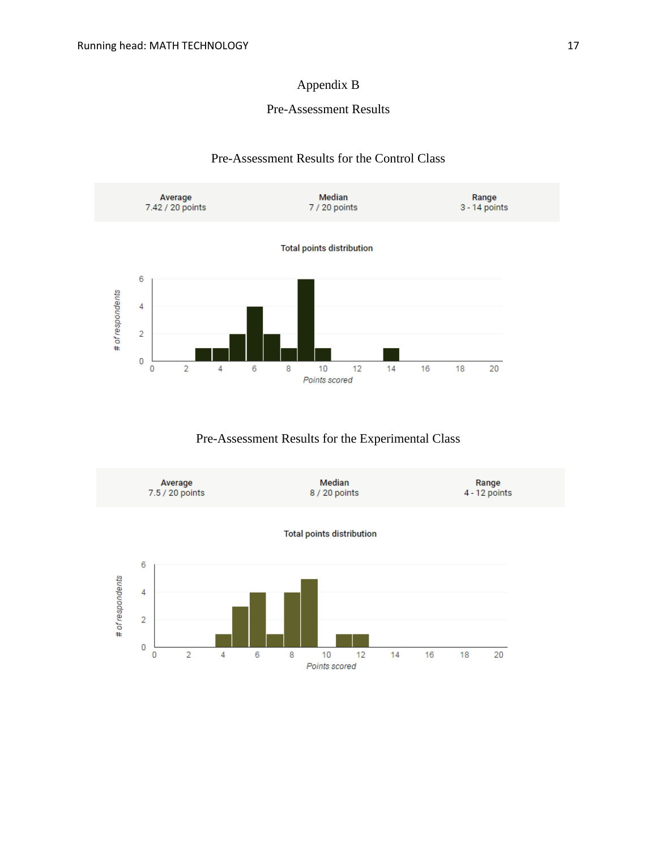# Appendix B

## Pre-Assessment Results

#### Pre-Assessment Results for the Control Class



Pre-Assessment Results for the Experimental Class

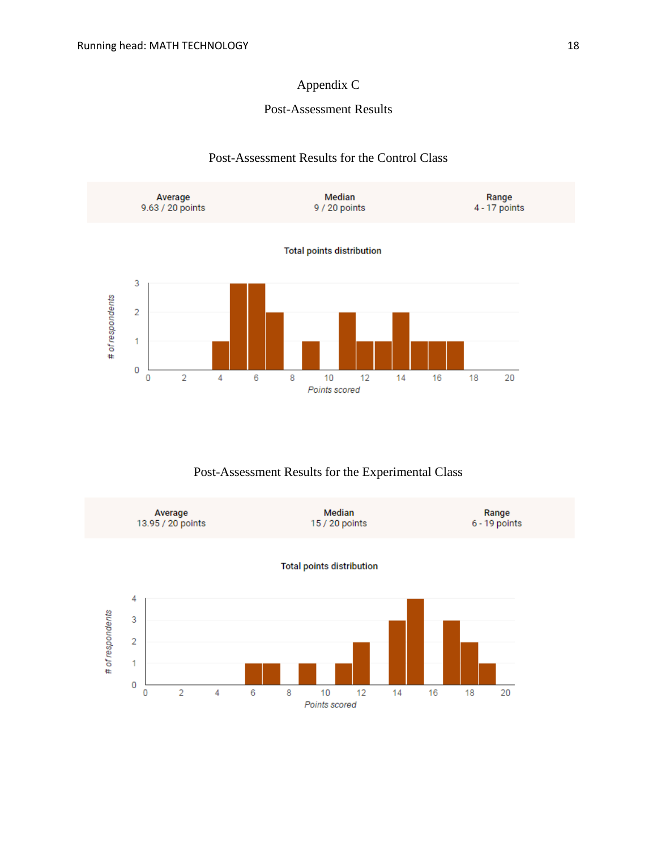# Appendix C

### Post-Assessment Results

## Post-Assessment Results for the Control Class



## Post-Assessment Results for the Experimental Class

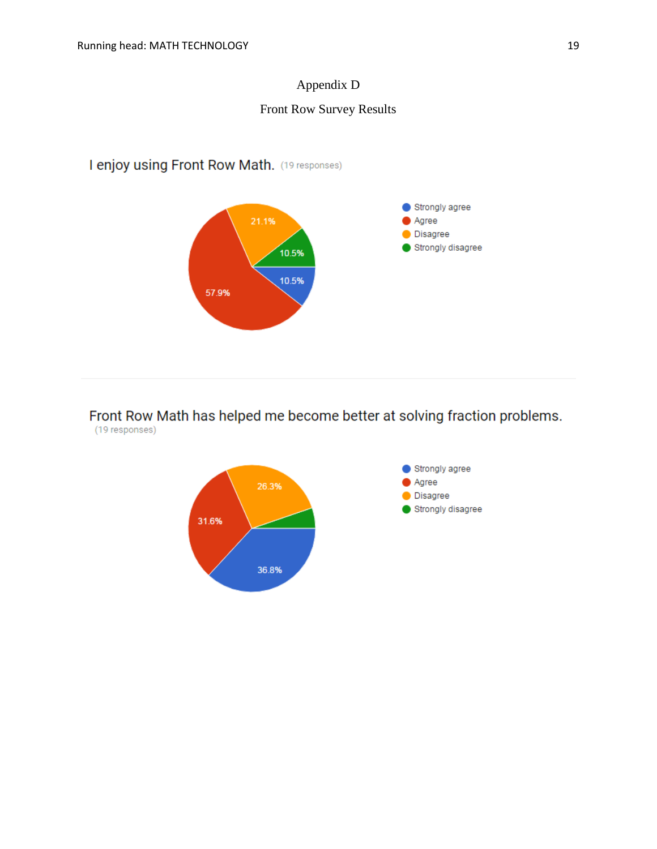# Appendix D

# Front Row Survey Results

# I enjoy using Front Row Math. (19 responses)



Front Row Math has helped me become better at solving fraction problems. (19 responses)